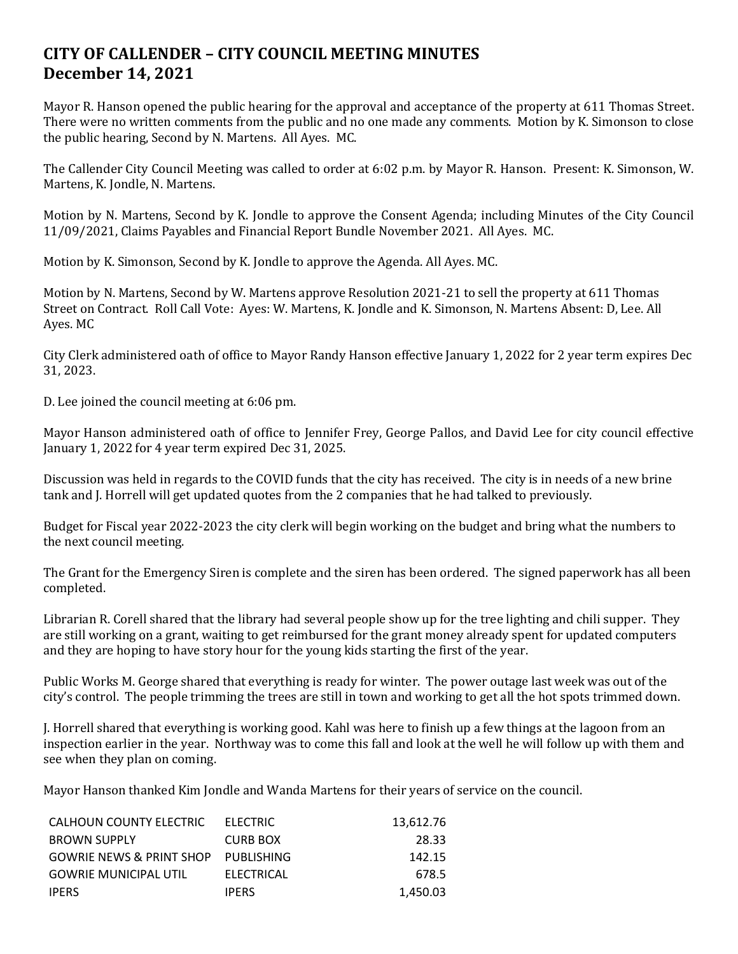## **CITY OF CALLENDER – CITY COUNCIL MEETING MINUTES December 14, 2021**

Mayor R. Hanson opened the public hearing for the approval and acceptance of the property at 611 Thomas Street. There were no written comments from the public and no one made any comments. Motion by K. Simonson to close the public hearing, Second by N. Martens. All Ayes. MC.

The Callender City Council Meeting was called to order at 6:02 p.m. by Mayor R. Hanson. Present: K. Simonson, W. Martens, K. Jondle, N. Martens.

Motion by N. Martens, Second by K. Jondle to approve the Consent Agenda; including Minutes of the City Council 11/09/2021, Claims Payables and Financial Report Bundle November 2021. All Ayes. MC.

Motion by K. Simonson, Second by K. Jondle to approve the Agenda. All Ayes. MC.

Motion by N. Martens, Second by W. Martens approve Resolution 2021-21 to sell the property at 611 Thomas Street on Contract. Roll Call Vote: Ayes: W. Martens, K. Jondle and K. Simonson, N. Martens Absent: D, Lee. All Ayes. MC

City Clerk administered oath of office to Mayor Randy Hanson effective January 1, 2022 for 2 year term expires Dec 31, 2023.

D. Lee joined the council meeting at 6:06 pm.

Mayor Hanson administered oath of office to Jennifer Frey, George Pallos, and David Lee for city council effective January 1, 2022 for 4 year term expired Dec 31, 2025.

Discussion was held in regards to the COVID funds that the city has received. The city is in needs of a new brine tank and J. Horrell will get updated quotes from the 2 companies that he had talked to previously.

Budget for Fiscal year 2022-2023 the city clerk will begin working on the budget and bring what the numbers to the next council meeting.

The Grant for the Emergency Siren is complete and the siren has been ordered. The signed paperwork has all been completed.

Librarian R. Corell shared that the library had several people show up for the tree lighting and chili supper. They are still working on a grant, waiting to get reimbursed for the grant money already spent for updated computers and they are hoping to have story hour for the young kids starting the first of the year.

Public Works M. George shared that everything is ready for winter. The power outage last week was out of the city's control. The people trimming the trees are still in town and working to get all the hot spots trimmed down.

J. Horrell shared that everything is working good. Kahl was here to finish up a few things at the lagoon from an inspection earlier in the year. Northway was to come this fall and look at the well he will follow up with them and see when they plan on coming.

Mayor Hanson thanked Kim Jondle and Wanda Martens for their years of service on the council.

| CALHOUN COUNTY ELECTRIC             | ELECTRIC        | 13.612.76 |
|-------------------------------------|-----------------|-----------|
| <b>BROWN SUPPLY</b>                 | <b>CURB BOX</b> | 28.33     |
| GOWRIE NEWS & PRINT SHOP PUBLISHING |                 | 142.15    |
| <b>GOWRIE MUNICIPAL UTIL</b>        | ELECTRICAL      | 678.5     |
| <b>IPERS</b>                        | <b>IPERS</b>    | 1.450.03  |